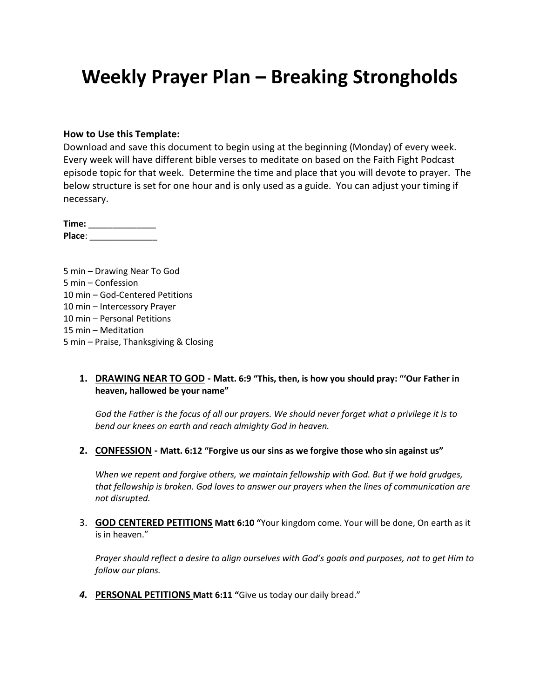# **Weekly Prayer Plan – Breaking Strongholds**

#### **How to Use this Template:**

Download and save this document to begin using at the beginning (Monday) of every week. Every week will have different bible verses to meditate on based on the Faith Fight Podcast episode topic for that week. Determine the time and place that you will devote to prayer. The below structure is set for one hour and is only used as a guide. You can adjust your timing if necessary.

**Time:** \_\_\_\_\_\_\_\_\_\_\_\_\_\_ **Place**: \_\_\_\_\_\_\_\_\_\_\_\_\_\_

5 min – Drawing Near To God 5 min – Confession 10 min – God-Centered Petitions 10 min – Intercessory Prayer 10 min – Personal Petitions 15 min – Meditation 5 min – Praise, Thanksgiving & Closing

#### **1. DRAWING NEAR TO GOD - Matt. 6:9 "This, then, is how you should pray: "'Our Father in heaven, hallowed be your name"**

*God the Father is the focus of all our prayers. We should never forget what a privilege it is to bend our knees on earth and reach almighty God in heaven.*

**2. CONFESSION - Matt. 6:12 "Forgive us our sins as we forgive those who sin against us"**

*When we repent and forgive others, we maintain fellowship with God. But if we hold grudges, that fellowship is broken. God loves to answer our prayers when the lines of communication are not disrupted.*

3. **GOD CENTERED PETITIONS Matt 6:10 "**Your kingdom come. Your will be done, On earth as it is in heaven."

*Prayer should reflect a desire to align ourselves with God's goals and purposes, not to get Him to follow our plans.*

*4.* **PERSONAL PETITIONS Matt 6:11 "**Give us today our daily bread."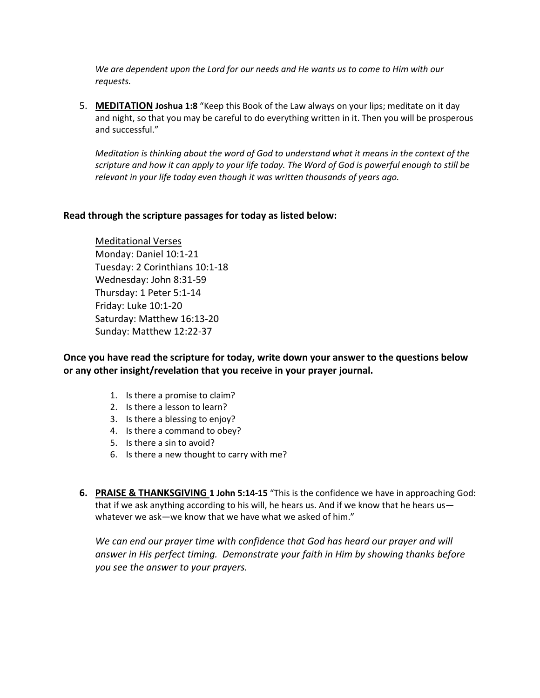*We are dependent upon the Lord for our needs and He wants us to come to Him with our requests.*

5. **MEDITATION Joshua 1:8** "Keep this Book of the Law always on your lips; meditate on it day and night, so that you may be careful to do everything written in it. Then you will be prosperous and successful."

*Meditation is thinking about the word of God to understand what it means in the context of the scripture and how it can apply to your life today. The Word of God is powerful enough to still be relevant in your life today even though it was written thousands of years ago.*

### **Read through the scripture passages for today as listed below:**

Meditational Verses Monday: Daniel 10:1-21 Tuesday: 2 Corinthians 10:1-18 Wednesday: John 8:31-59 Thursday: 1 Peter 5:1-14 Friday: Luke 10:1-20 Saturday: Matthew 16:13-20 Sunday: Matthew 12:22-37

**Once you have read the scripture for today, write down your answer to the questions below or any other insight/revelation that you receive in your prayer journal.** 

- 1. Is there a promise to claim?
- 2. Is there a lesson to learn?
- 3. Is there a blessing to enjoy?
- 4. Is there a command to obey?
- 5. Is there a sin to avoid?
- 6. Is there a new thought to carry with me?
- **6. PRAISE & THANKSGIVING 1 John 5:14-15** "This is the confidence we have in approaching God: that if we ask anything according to his will, he hears us. And if we know that he hears us whatever we ask—we know that we have what we asked of him."

*We can end our prayer time with confidence that God has heard our prayer and will answer in His perfect timing. Demonstrate your faith in Him by showing thanks before you see the answer to your prayers.*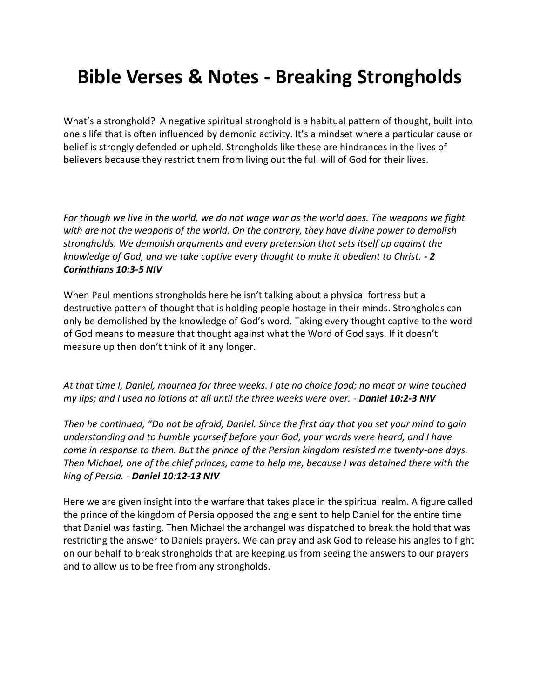# **Bible Verses & Notes - Breaking Strongholds**

What's a stronghold? A negative spiritual stronghold is a habitual pattern of thought, built into one's life that is often influenced by demonic activity. It's a mindset where a particular cause or belief is strongly defended or upheld. Strongholds like these are hindrances in the lives of believers because they restrict them from living out the full will of God for their lives.

*For though we live in the world, we do not wage war as the world does. The weapons we fight with are not the weapons of the world. On the contrary, they have divine power to demolish strongholds. We demolish arguments and every pretension that sets itself up against the knowledge of God, and we take captive every thought to make it obedient to Christ. - 2 Corinthians 10:3-5 NIV*

When Paul mentions strongholds here he isn't talking about a physical fortress but a destructive pattern of thought that is holding people hostage in their minds. Strongholds can only be demolished by the knowledge of God's word. Taking every thought captive to the word of God means to measure that thought against what the Word of God says. If it doesn't measure up then don't think of it any longer.

*At that time I, Daniel, mourned for three weeks. I ate no choice food; no meat or wine touched my lips; and I used no lotions at all until the three weeks were over. - Daniel 10:2-3 NIV*

*Then he continued, "Do not be afraid, Daniel. Since the first day that you set your mind to gain understanding and to humble yourself before your God, your words were heard, and I have come in response to them. But the prince of the Persian kingdom resisted me twenty-one days. Then Michael, one of the chief princes, came to help me, because I was detained there with the king of Persia. - Daniel 10:12-13 NIV*

Here we are given insight into the warfare that takes place in the spiritual realm. A figure called the prince of the kingdom of Persia opposed the angle sent to help Daniel for the entire time that Daniel was fasting. Then Michael the archangel was dispatched to break the hold that was restricting the answer to Daniels prayers. We can pray and ask God to release his angles to fight on our behalf to break strongholds that are keeping us from seeing the answers to our prayers and to allow us to be free from any strongholds.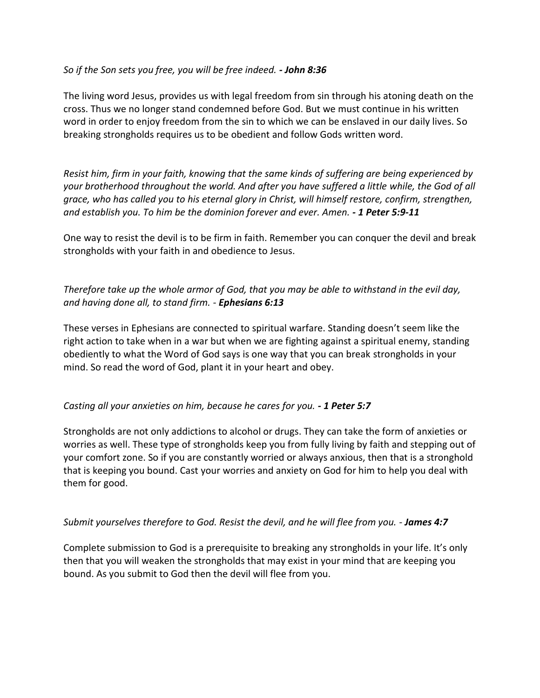## *So if the Son sets you free, you will be free indeed. - John 8:36*

The living word Jesus, provides us with legal freedom from sin through his atoning death on the cross. Thus we no longer stand condemned before God. But we must continue in his written word in order to enjoy freedom from the sin to which we can be enslaved in our daily lives. So breaking strongholds requires us to be obedient and follow Gods written word.

*Resist him, firm in your faith, knowing that the same kinds of suffering are being experienced by your brotherhood throughout the world. And after you have suffered a little while, the God of all grace, who has called you to his eternal glory in Christ, will himself restore, confirm, strengthen, and establish you. To him be the dominion forever and ever. Amen. - 1 Peter 5:9-11*

One way to resist the devil is to be firm in faith. Remember you can conquer the devil and break strongholds with your faith in and obedience to Jesus.

## *Therefore take up the whole armor of God, that you may be able to withstand in the evil day, and having done all, to stand firm. - Ephesians 6:13*

These verses in Ephesians are connected to spiritual warfare. Standing doesn't seem like the right action to take when in a war but when we are fighting against a spiritual enemy, standing obediently to what the Word of God says is one way that you can break strongholds in your mind. So read the word of God, plant it in your heart and obey.

### *Casting all your anxieties on him, because he cares for you. - 1 Peter 5:7*

Strongholds are not only addictions to alcohol or drugs. They can take the form of anxieties or worries as well. These type of strongholds keep you from fully living by faith and stepping out of your comfort zone. So if you are constantly worried or always anxious, then that is a stronghold that is keeping you bound. Cast your worries and anxiety on God for him to help you deal with them for good.

### *Submit yourselves therefore to God. Resist the devil, and he will flee from you. - James 4:7*

Complete submission to God is a prerequisite to breaking any strongholds in your life. It's only then that you will weaken the strongholds that may exist in your mind that are keeping you bound. As you submit to God then the devil will flee from you.